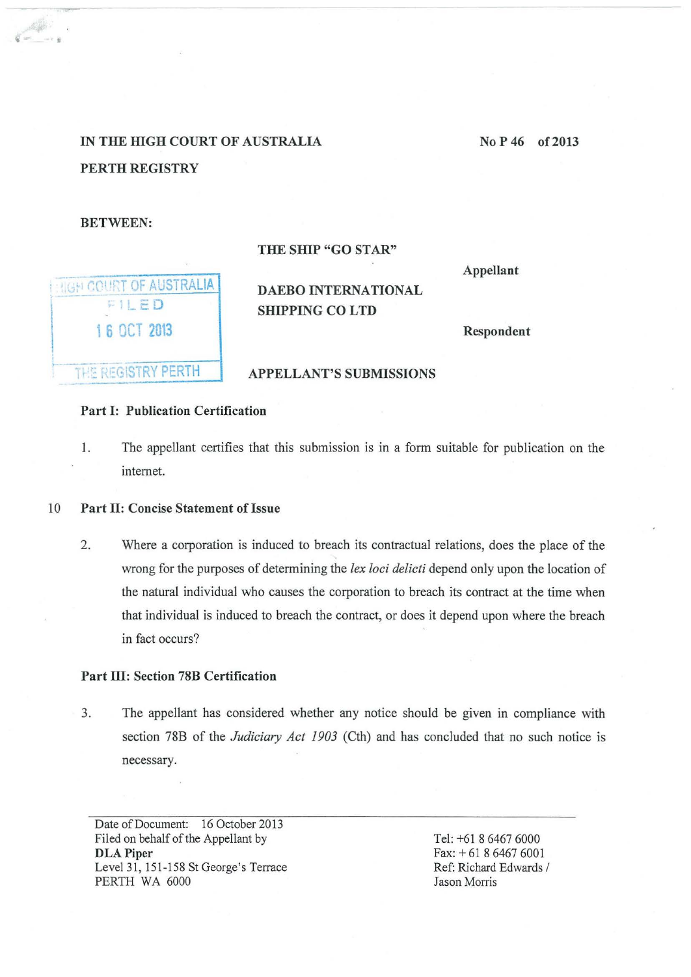# IN THE HIGH COURT OF AUSTRALIA PERTH REGISTRY

## BETWEEN:

**HIGH COURT OF AUSTRALIA** FILED 1 6 OCT 2013

## THE SHIP "GO STAR"

Appellant

## DAEBO INTERNATIONAL SHIPPING CO LTD

## THE REGISTRY PERTH

## APPELLANT'S SUBMISSIONS

## Part 1: Publication Certification

1. The appellant certifies that this submission is in a form suitable for publication on the internet.

## 10 Part II: Concise Statement of Issue

2. Where a corporation is induced to breach its contractual relations, does the place of the wrong for the purposes of determining the *lex loci delicti* depend only upon the location of the natural individual who causes the corporation to breach its contract at the time when that individual is induced to breach the contract, or does it depend upon where the breach in fact occurs?

## Part III: Section 78B Certification

3. The appellant has considered whether any notice should be given in compliance with section 78B of the *Judiciary Act 1903* (Cth) and has concluded that no such notice is necessary.

Date of Document: 16 October 2013 Filed on behalf of the Appellant by DLA Piper Level 31, 151-158 St George's Terrace PERTH WA 6000

Tel: +61 8 6467 6000 Fax:+ 61 8 6467 6001 Ref: Richard Edwards / Jason Morris

No P 46 of 2013

•• •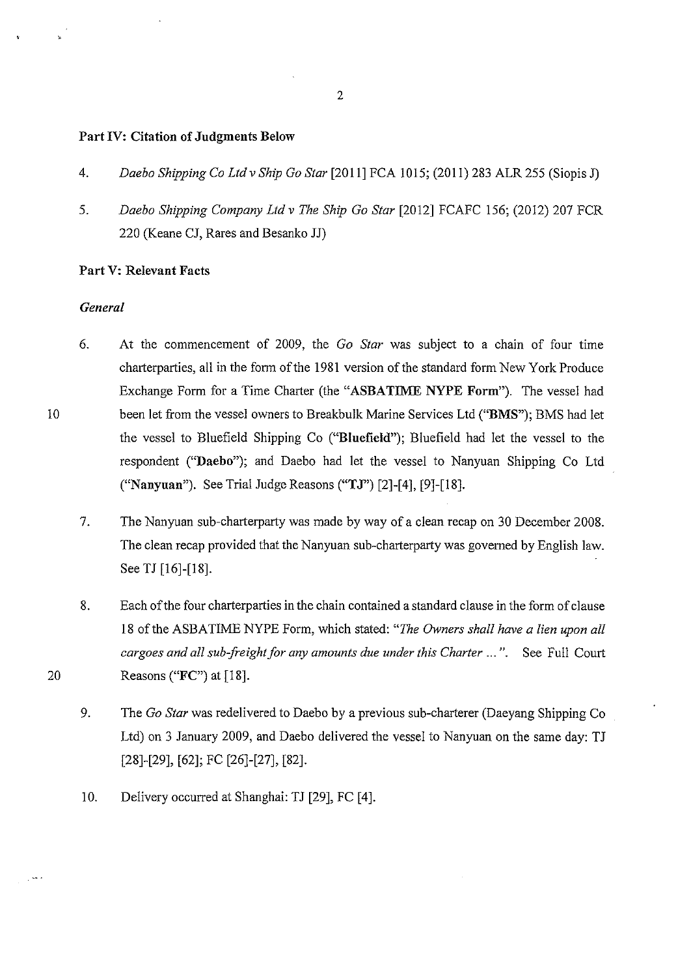#### Part IV: Citation of Judgments Below

- 4. *Daebo Shipping Co Ltd v Ship Go Star* [2011] FCA 1015; (2011) 283 ALR 255 (Siopis J)
- 5. *Daebo Shipping Company Ltd v The Ship Go Star* [2012] FCAFC 156; (2012) 207 FCR 220 (Keane CJ, Rares and Besanko JJ)

## Part V: Relevant Facts

## *General*

- 6. At the commencement of 2009, the *Go Star* was subject to a chain of four time charterparties, all in the form of the 1981 version of the standard form New York Produce Exchange Form for a Time Charter (the "ASBATIME NYPE Form"). The vessel had been let from the vessel owners to Breakbulk Marine Services Ltd ("BMS"); BMS had let the vessel to Bluefield Shipping Co ("Blnefield"); Bluefield had let the vessel to the respondent ("Daebo"); and Daebo had let the vessel to Nauyuan Shipping Co Ltd ("Nanyuan"). See Trial Judge Reasons ("TJ") [2]-[ 4], [9]-[18].
- 7. The Nanyuan sub-charterparty was made by way of a clean recap on 30 December 2008. The clean recap provided that the Nanyuan sub-charterparty was governed by English law. See TJ [16]-[18].
- 8. Each of the four charterparties in the chain contained a standard clause in the form of clause 18 of the ASBATIME NYPE Form, which stated: *"The Owners shall have a lien upon all cargoes and all sub-freight for any amounts due under this Charter* ... ". See Full Court 20 Reasons ("FC") at [18].
	- 9. The *Go Star* was redelivered to Daebo by a previous sub-charterer (Daeyang Shipping Co Ltd) on 3 January 2009, and Daebo delivered the vessel to Nanyuan on the same day: TJ [28]-[29], [62]; FC [26]-[27], [82].
	- 10. Delivery occurred at Shanghai: TJ [29], FC [4].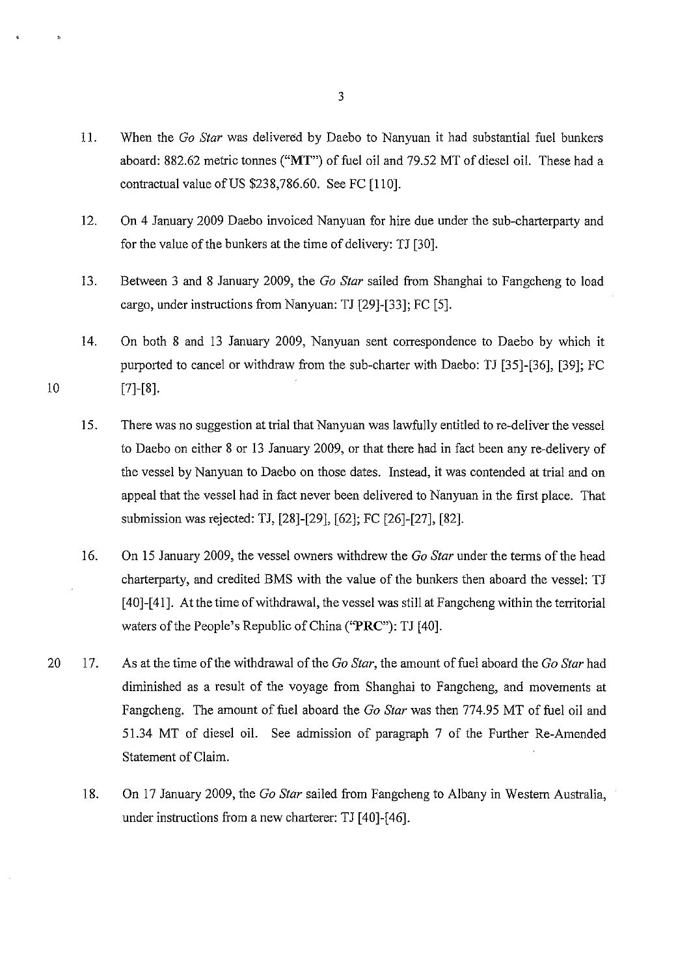- 11. When the *Go Star* was delivered by Daebo to Nanyuan it had substantial fuel bunkers aboard: 882.62 metric tonnes **("MT")** of fuel oil and 79.52 MT of diesel oil. These had a contractual value of US \$238,786.60. See FC [110].
- 12. On 4 January 2009 Daebo invoiced Nanyuan for hire due under the sub-charterparty and for the value of the bunkers at the time of delivery: TJ [30].
- 13. Between 3 and 8 January 2009, the *Go Star* sailed from Shanghai to Fangcheng to load cargo, under instructions from Nanyuan: TJ [29]-[33]; FC [5].
- 14. On both 8 and 13 January 2009, Nanyuan sent correspondence to Daebo by which it purported to cancel or withdraw from the sub-charter with Daebo: TJ [35]-[36], [39]; FC [7]-[8].

- 15. There was no suggestion at trial that Nanyuan was lawfully entitled to re-deliver the vessel to Daebo on either 8 or 13 January 2009, or that there had in fact been any re-delivery of the vessel by Nanyuan to Daebo on those dates. Instead, it was contended at trial and on appeal that the vessel had in fact never been delivered to Nanyuan in the first place. That submission was rejected: TJ, [28]-[29], [62]; FC [26]-[27], [82].
- 16. On 15 January 2009, the vessel owners withdrew the *Go Star* under the terms of the head charterparty, and credited BMS with the value of the bunkers then aboard the vessel: TJ [40]-[41]. At the time of withdrawal, the vessel was still at Fangcheng within the territorial waters of the People's Republic of China **("PRC"):** TJ [40].
- 20 17. As at the time of the withdrawal of the *Go Star,* the amount of fuel aboard the *Go Star* had diminished as a result of the voyage from Shanghai to Fangcheng, and movements at Fangcheng. The amount of fuel aboard the *Go Star* was then 774.95 MT of fuel oil and 51.34 MT of diesel oil. See admission of paragraph 7 of the Further Re-Amended Statement of Claim.
	- 18. On 17 January 2009, the *Go Star* sailed from Fangcheng to Albany in Western Australia, under instructions from a new charterer: TJ [40]-[46].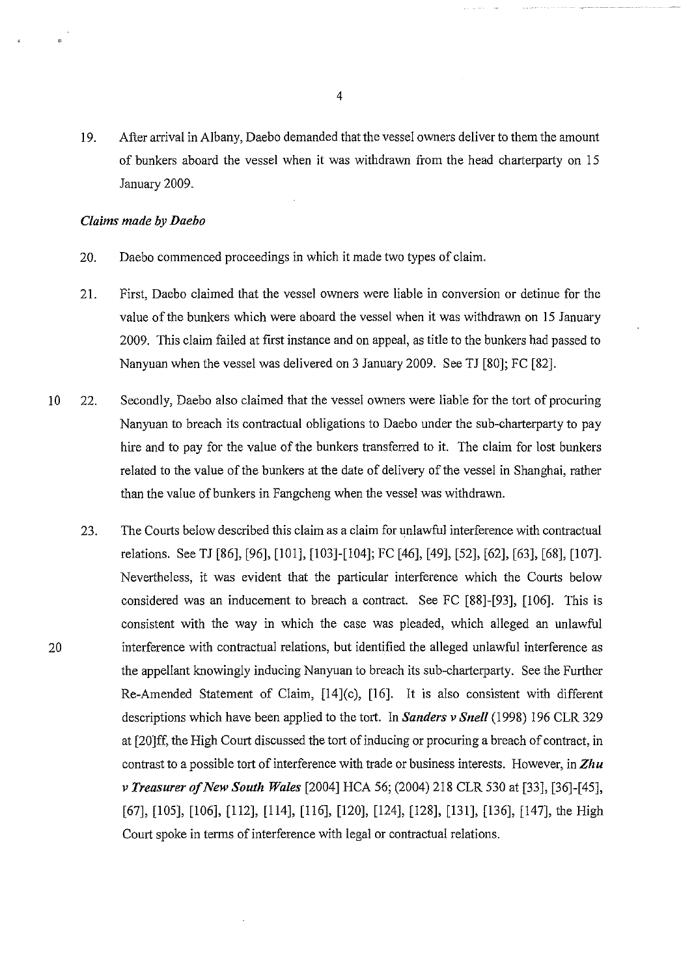19. After arrival in Albany, Daebo demanded that the vessel owners deliver to them the amount of bunkers aboard the vessel when it was withdrawn from the head charterparty on 15 January 2009.

#### *Claims made by Daebo*

- 20. Daebo commenced proceedings in which it made two types of claim.
- 21. First, Daebo claimed that the vessel owners were liable in conversion or detinue for the value of the bunkers which were aboard the vessel when it was withdrawn on 15 January 2009. This claim failed at first instance and on appeal, as title to the bunkers had passed to Nanyuan when the vessel was delivered on 3 January 2009. See TJ [80]; FC [82].
- 10 22. Secondly, Daebo also claimed that the vessel owners were liable for the tort of procuring Nanyuan to breach its contractual obligations to Daebo under the sub-charterparty to pay hire and to pay for the value of the bunkers transferred to it. The claim for lost bunkers related to the value of the bunkers at the date of delivery of the vessel in Shanghai, rather than the value of bunkers in Fangcheng when the vessel was withdrawn.
- 23. The Courts below described this claim as a claim for unlawful interference with contractual relations. See TJ [86], [96], [101], [103]-[104]; FC [46], [49], [52], [62], [63], [68], [107]. Nevertheless, it was evident that the particular interference which the Courts below considered was an inducement to breach a contract. See FC [88]-[93], [106]. This is consistent with the way in which the case was pleaded, which alleged an unlawful 20 interference with contractual relations, but identified the alleged unlawful interference as the appellant knowingly inducing Nanyuan to breach its sub-charterparty. See the Further Re-Amended Statement of Claim, [14](c), [16]. It is also consistent with different descriptions which have been applied to the tort. In *Sanders v Snell* (1998) 196 CLR 329 at [20]ff, the High Court discussed the tort of inducing or procuring a breach of contract, in contrast to a possible tort of interference with trade or business interests. However, in *Zhu v Treasurer of New South Wales* [2004] HCA 56; (2004) 218 CLR 530 at [33], [36]-[45], [67], [105], [106], [112], [114], [116], [120], [124], [128], [131], [136], [147], the High Court spoke in terms of interference with legal or contractual relations.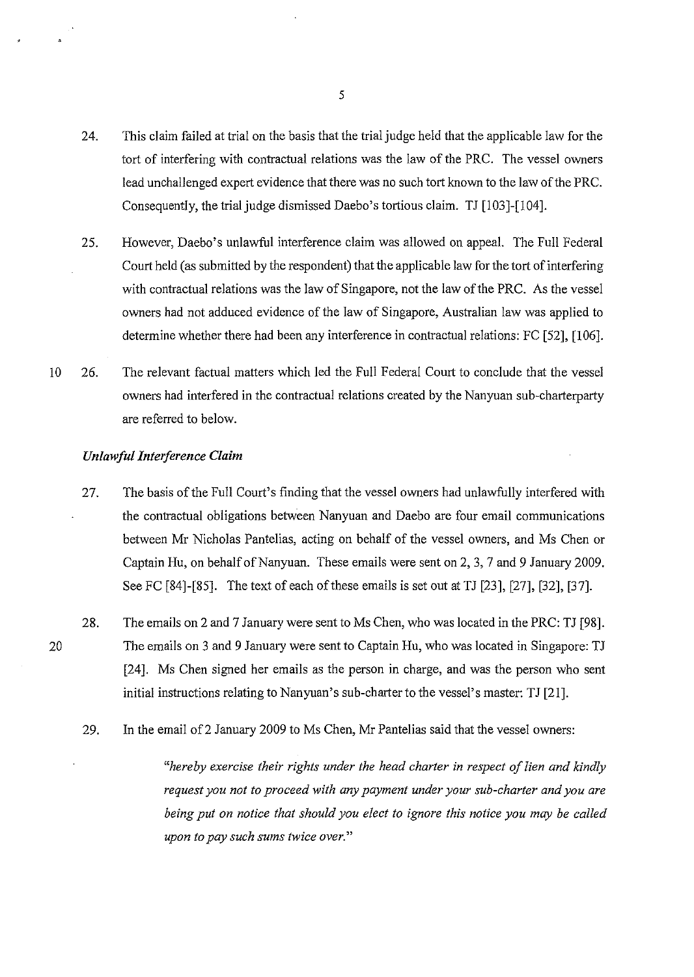- 24. This claim failed at trial on the basis that the trial judge held that the applicable law for the tort of interfering with contractual relations was the law of the PRC. The vessel owners lead unchallenged expert evidence that there was no such tort known to the law of the PRC. Consequently, the trial judge dismissed Daebo's tortious claim. TJ [103]-[104].
- 25. However, Daebo's unlawful interference claim was allowed on appeal. The Full Federal Court held (as submitted by the respondent) that the applicable law for the tort of interfering with contractual relations was the law of Singapore, not the law of the PRC. As the vessel owners had not adduced evidence of the law of Singapore, Australian law was applied to determine whether there had been any interference in contractual relations: FC [52], [106].
- 10 26. The relevant factual matters which led the Full Federal Court to conclude that the vessel owners had interfered in the contractual relations created by the Nanyuan sub-charterparty are referred to below.

#### *Unlawful Interference Claim*

- 27. The basis of the Full Court's finding that the vessel owners had unlawfully interfered with the contractual obligations between Nanyuan and Daebo are four email communications between Mr Nicholas Pantelias, acting on behalf of the vessel owners, and Ms Chen or Captain Hu, on behalf of Nanyuan. These emails were sent on 2, 3, 7 and 9 January 2009. See FC [84]-[85]. The text of each of these emails is set out at TJ [23], [27], [32], [37].
- 28. The emails on 2 and 7 January were sent to Ms Chen, who was located in the PRC: TJ [98]. The emails on 3 and 9 January were sent to Captain Hu, who was located in Singapore: TJ [24]. Ms Chen signed her emails as the person in charge, and was the person who sent initial instructions relating to Nanyuan's sub-charter to the vessel's master: TJ [21].
	- 29. In the email of 2 January 2009 to Ms Chen, Mr Pantelias said that the vessel owners:

*"hereby exercise their rights under the head charter in respect of lien and kindly request you not to proceed with any payment under your sub-charter and you are being put on notice that should you elect to ignore this notice you may be called upon to pay such sums twice over."* 

5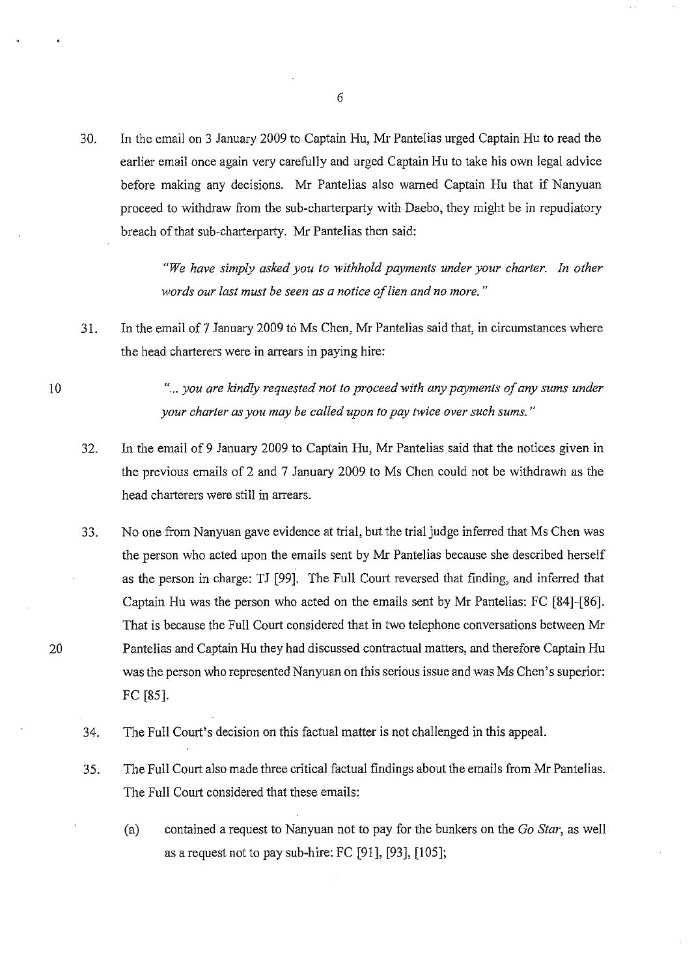30. In the email on 3 January 2009 to Captain Hu, Mr Pantelias urged Captain Hu to read the earlier email once again very carefully and urged Captain Hu to take his own legal advice before making any decisions. Mr Pantelias also warned Captain Hu that if Nanyuan proceed to withdraw from the sub-charterparty with Daebo, they might be in repudiatory breach of that sub-charterparty. Mr Pantelias then said:

> *"We have simply asked you to withhold payments under your charter. In other words our last must be seen as a notice of lien and no more.* "

31. In the email of 7 January 2009 to Ms Chen, Mr Pantelias said that, in circumstances where the head charterers were in arrears in paying hire:

> "... you are kindly requested not to proceed with any payments of any sums under *your charter as you may be called upon to pay twice over such sums.* "

- 32. In the email of 9 January 2009 to Captain Hu, Mr Pantelias said that the notices given in the previous emails of 2 and 7 January 2009 to Ms Chen could not be withdrawn as the head charterers were still in arrears.
- 33. No one from Nanyuan gave evidence at trial, but the trial judge inferred that Ms Chen was the person who acted upon the emails sent by Mr Pantelias because she described herself as the person in charge: TJ [99]. The Full Court reversed that finding, and inferred that Captain Hu was the person who acted on the emails sent by Mr Pantelias: FC [84]-[86]. That is because the Full Court considered that in two telephone conversations between Mr Pantelias and Captain Hu they had discussed contractual matters, and therefore Captain Hu was the person who represented Nanyuan on this serious issue and was Ms Chen's superior: FC [85].
- 34. The Full Court's decision on this factual matter is not challenged in this appeal.
- 35. The Full Court also made three critical factual findings about the emails from Mr Pantelias. The Full Court considered that these emails:
	- (a) contained a request to Nanyuan not to pay for the bunkers on the *Go Star,* as well as a request not to pay sub-hire: FC [91], [93], [105];

20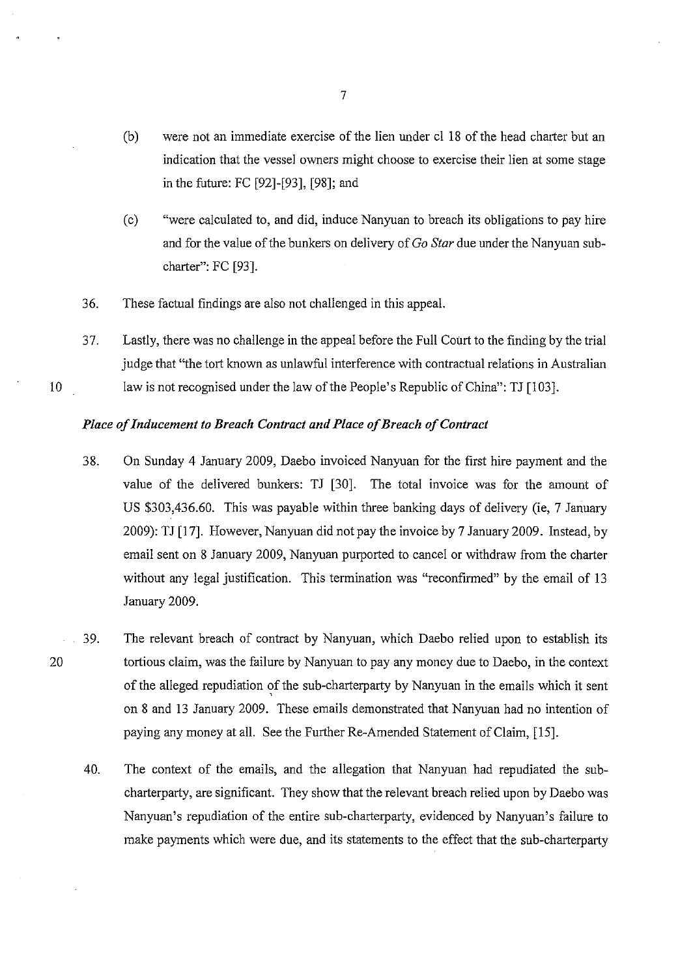- (b) were not an immediate exercise of the lien under cl 18 of the head charter but an indication that the vessel owners might choose to exercise their lien at some stage in the future: FC [92]-[93], [98]; and
- (c) "were calculated to, and did, induce Nanyuan to breach its obligations to pay hire and for the value of the bunkers on delivery of *Go Star* due under the Nanyuan subcharter": FC [93].
- 36. These factual findings are also not challenged in this appeal.
- 37. Lastly, there was no challenge in the appeal before the Full Court to the finding by the trial judge that "the tort known as unlawful interference with contractual relations in Australian law is not recognised under the law of the People's Republic of China": TJ [103].

#### *Place of Inducement to Breach Contract and Place of Breach of Contract*

- 38. On Sunday 4 January 2009, Daebo invoiced Nanyuan for the first hire payment and the value of the delivered bunkers: TJ [30]. The total invoice was for the amount of US \$303,436.60. This was payable within three banking days of delivery (ie, 7 January 2009): TJ [17]. However, Nanyuan did not pay the invoice by 7 January 2009. Instead, by email sent on 8 January 2009, Nanyuan purported to cancel or withdraw from the charter without any legal justification. This termination was "reconfirmed" by the email of 13 January 2009.
- 20 39. The relevant breach of contract by Nanyuan, which Daebo relied upon to establish its tortious claim, was the failure by Nanyuan to pay any money due to Daebo, in the context of the alleged repudiation of the sub-charterparty by Nanyuan in the emails which it sent on 8 and 13 January 2009. These emails demonstrated that Nanyuan had no intention of paying any money at all. See the Further Re-Amended Statement of Claim, [15].
	- 40. The context of the emails, and the allegation that Nanyuan had repudiated the subcharterparty, are significant. They show that the relevant breach relied upon by Daebo was Nanyuan's repudiation of the entire sub-charterparty, evidenced by Nanyuan's failure to make payments which were due, and its statements to the effect that the sub-charterparty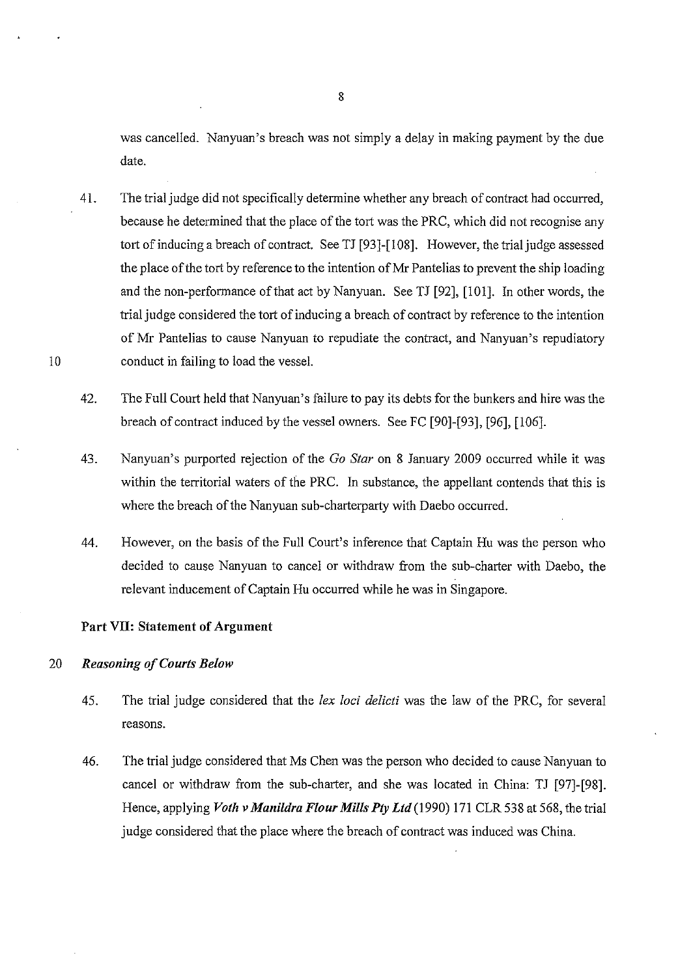was cancelled. Nanyuan's breach was not simply a delay in making payment by the due date.

- 41. The trial judge did not specifically determine whether any breach of contract had occurred, because he determined that the place of the tort was the PRC, which did not recognise any tort of inducing a breach of contract. See TJ [93]-[108]. However, the trial judge assessed the place of the tort by reference to the intention of Mr Pantelias to prevent the ship loading and the non-performance of that act by Nan yuan. See TJ [92], [101]. In other words, the trial judge considered the tort of inducing a breach of contract by reference to the intention of Mr Pantelias to cause Nanyuan to repudiate the contract, and Nanyuan's repudiatory conduct in failing to load the vessel.
- 42. The Full Court held that Nanyuan's failure to pay its debts for the bunkers and hire was the breach of contract induced by the vessel owners. See FC [90]-[93], [96], [106].
- 43. Nanyuan's purported rejection of the *Go Star* on 8 January 2009 occurred while it was within the territorial waters of the PRC. In substance, the appellant contends that this is where the breach of the Nanyuan sub-charterparty with Daebo occurred.
- 44. However, on the basis of the Full Court's inference that Captain Hu was the person who decided to cause Nanyuan to cancel or withdraw from the sub-charter with Daebo, the relevant inducement of Captain Hu occurred while he was in Singapore.

#### Part VII: Statement of Argument

#### 20 *Reasoning of Courts Below*

- 45. The trial judge considered that the *lex loci delicti* was the law of the PRC, for several reasons.
- 46. The trial judge considered that Ms Chen was the person who decided to cause Nanyuan to cancel or withdraw from the sub-charter, and she was located in China: TJ [97]-[98]. Hence, applying *Voth v Manildra Flour Mills Pty Ltd* (1990) 171 CLR 538 at 568, the trial judge considered that the place where the breach of contract was induced was China.

8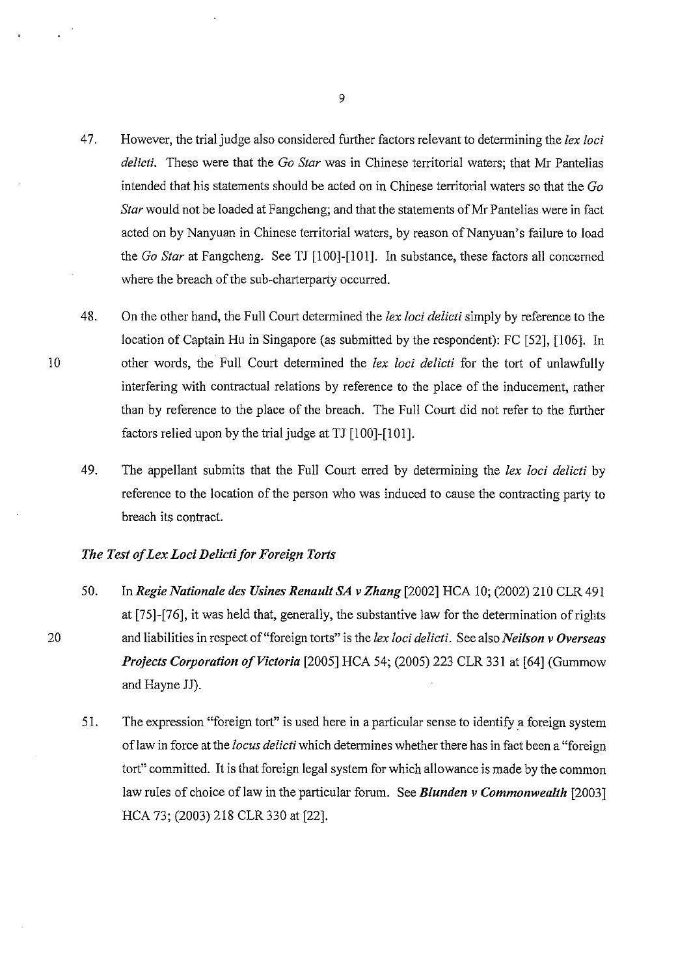- 4 7. However, the trial judge also considered further factors relevant to determining the *lex loci delicti.* These were that the *Go Star* was in Chinese territorial waters; that Mr Pantelias intended that his statements should be acted on in Chinese territorial waters so that the *Go Star* would not be loaded at Fangcheng; and that the statements of Mr Pantelias were in fact acted on by Nanyuan in Chinese territorial waters, by reason of Nanyuan's failure to load the *Go Star* at Fangcheng. See TJ [100]-[101]. In substance, these factors all concerned where the breach of the sub-charterparty occurred.
- 48. On the other hand, the Full Court determined the *lex loci delicti* simply by reference to the location of Captain Hu in Singapore (as submitted by the respondent): FC [52], [106]. In other words, the Full Court determined the *lex loci delicti* for the tort of unlawfully interfering with contractual relations by reference to the place of the inducement, rather than by reference to the place of the breach. The Full Court did not refer to the further factors relied upon by the trial judge at TJ [100]-[101].
- 49. The appellant submits that the Full Court erred by determining the *lex loci delicti* by reference to the location of the person who was induced to cause the contracting party to breach its contract.

#### *The Test of Lex Loci Delicti for Foreign Torts*

- 50. In *Regie Nationale des Usines Renault SA vZhang* [2002] HCA 10; (2002) 210 CLR 491 at [75]-[76], it was held that, generally, the substantive law for the determination of rights and liabilities in respect of"foreign torts" is the *lex loci delicti.* See also *Neilson v Overseas Projects Corporation of Victoria* [2005] HCA 54; (2005) 223 CLR 331 at [64] (Gummow and Hayne JJ).
- 51. The expression "foreign tort" is used here in a particular sense to identify a foreign system oflaw in force at the *locus delicti* which determines whether there has in fact been a "foreign tort" committed. It is that foreign legal system for which allowance is made by the common law rules of choice of law in the particular forum. See *Blunden v Commonwealth* [2003] HCA 73; (2003) 218 CLR 330 at [22].

9

20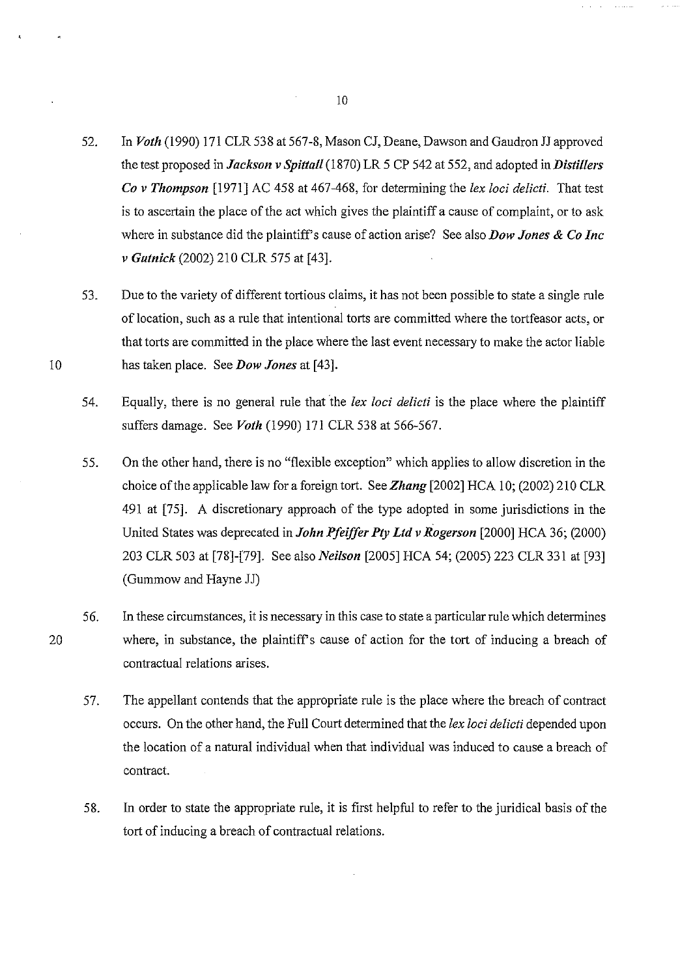- 52. In *Voth* (1990) 171 CLR 538 at 567-8, Mason CJ, Deane, Dawson and Gaudron JJ approved the test proposed in *Jackson v Spittall* (1870) LR 5 CP 542 at 552, and adopted in *Distillers Co v Thompson* [1971] AC 458 at 467-468, for determining the *lex loci delicti.* That test is to ascertain the place of the act which gives the plaintiff a cause of complaint, or to ask where in substance did the plaintiff's cause of action arise? See also *Dow Jones & Co Inc v Gutnick* (2002) 210 CLR 575 at [43].
- 53. Due to the variety of different tortious claims, it has not been possible to state a single rule of location, such as a rule that intentional torts are committed where the tortfeasor acts, or that torts are committed in the place where the last event necessary to make the actor liable has taken place. See *Dow Jones* at [43].
- 54. Equally, there is no general rule that the *lex loci delicti* is the place where the plaintiff suffers damage. See *Voth* (1990) 171 CLR 538 at 566-567.
- 55. On the other hand, there is no "flexible exception" which applies to allow discretion in the choice of the applicable law for a foreign tort. See *Zhang* [2002] HCA 10; (2002) 210 CLR 491 at [75]. A discretionary approach of the type adopted in some jurisdictions in the United States was deprecated in *John Pfeiffer Pty Ltd v Rogerson* [2000] HCA 36; (2000) 203 CLR 503 at [78]-[79]. See also *Neilson* [2005] HCA 54; (2005) 223 CLR 331 at [93] (Gummow and Hayne JJ)
- 56. In these circumstances, it is necessary in this case to state a particular rule which determines where, in substance, the plaintiff's cause of action for the tort of inducing a breach of contractual relations arises.
	- 57. The appellant contends that the appropriate rule is the place where the breach of contract occurs. On the other hand, the Full Court determined that the *lex loci delicti* depended upon the location of a natural individual when that individual was induced to cause a breach of contract.
	- 58. In order to state the appropriate rule, it is first helpful to refer to the juridical basis of the tort of inducing a breach of contractual relations.

20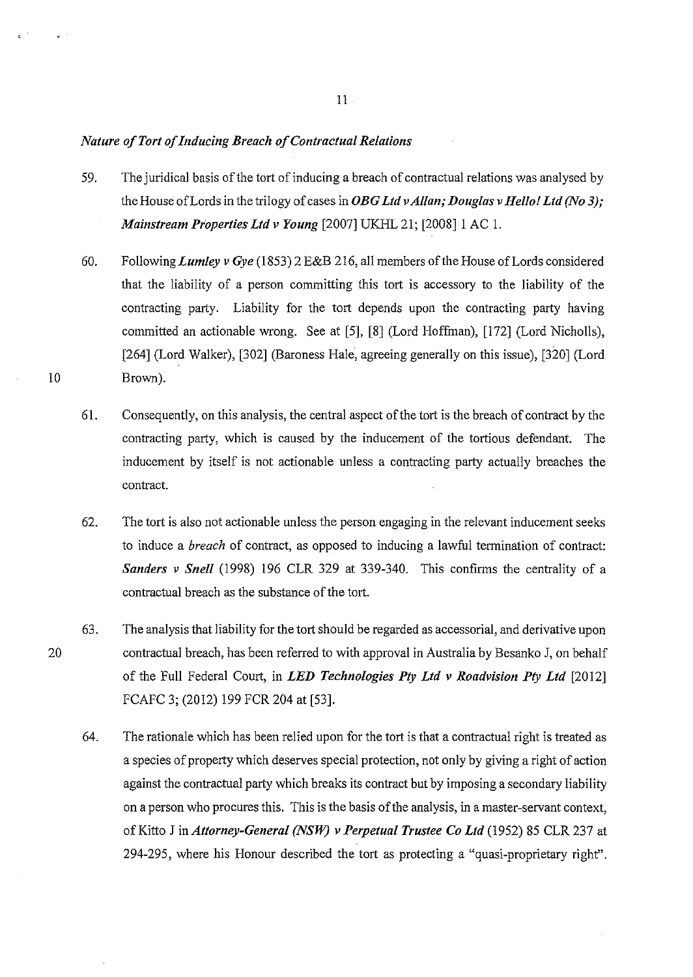#### *Nature of Tort of Inducing Breach of Contractual Relations*

10

20

- 59. The juridical basis of the tort of inducing a breach of contractual relations was analysed by the House of Lords in the trilogy of cases in *OBG Ltd v Allan; Douglas v Hello! Ltd (No 3); Mainstream Properties Ltd v Young* [2007] UKHL 21; [2008] 1 AC 1.
- 60. Following *Lumley v Gye* (1853) 2 E&B 216, all members of the House of Lords considered that the liability of a person committing this tort is accessory to the liability of the contracting party. Liability for the tort depends upon the contracting party having committed an actionable wrong. See at [5], [8] (Lord Hoffman), [172] (Lord Nicholls), [264] (Lord Walker), [302] (Baroness Hale, agreeing generally on this issue), [320] (Lord Brown).
- 61. Consequently, on this analysis, the central aspect of the tort is the breach of contract by the contracting party, which is caused by the inducement of the tortious defendant. The inducement by itself is not actionable unless a contracting party actually breaches the contract.
- 62. The tort is also not actionable unless the person engaging in the relevant inducement seeks to induce a *breach* of contract, as opposed to inducing a lawful termination of contract: *Sanders v Snell* (1998) 196 CLR 329 at 339-340. This confirms the centrality of a contractual breach as the substance of the tort.
- 63. The analysis that liability for the tort should be regarded as accessorial, and derivative upon contractual breach, has been referred to with approval in Australia by Besanko J, on behalf of the Full Federal Court, in *LED Technologies Ply Ltd v Roadvision Pty Ltd* [2012] FCAFC 3; (2012) 199 FCR 204 at [53].
	- 64. The rationale which has been relied upon for the tort is that a contractual right is treated as a species of property which deserves special protection, not only by giving a right of action against the contractual party which breaks its contract but by imposing a secondary liability on a person who procures this. This is the basis of the analysis, in a master-servant context, of Kitto J in *Attorney-General (NSW) v Perpetual Trustee Co Ltd* (1952) 85 CLR 237 at 294-295, where his Honour described the tort as protecting a "quasi-proprietary right".

II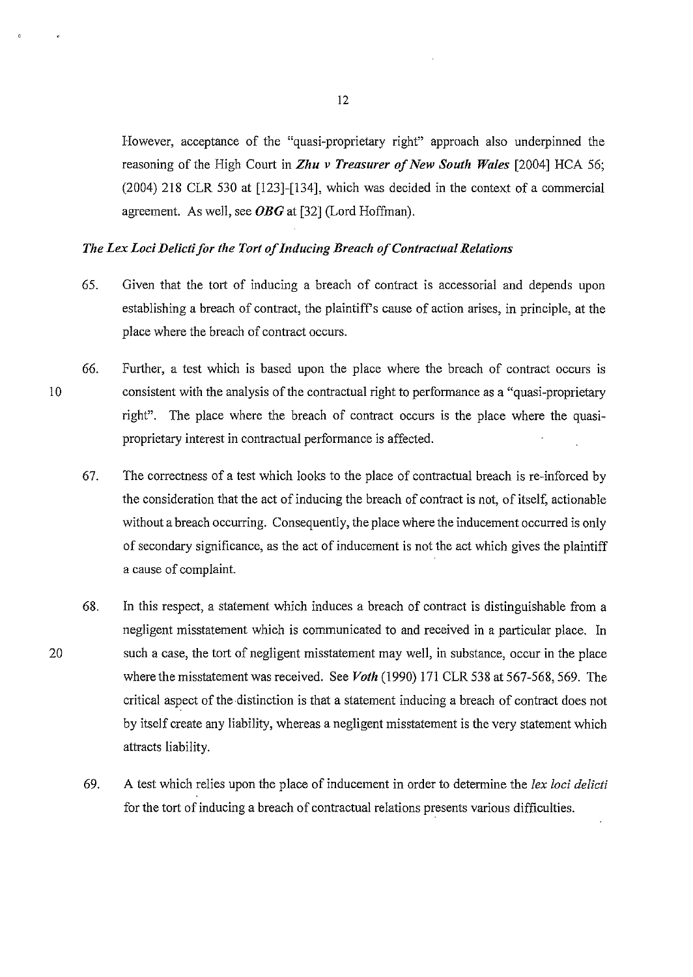However, acceptance of the "quasi-proprietary right" approach also underpinned the reasoning of the High Court in *Zhu v Treasurer of New South Wales* [2004] HCA 56; (2004) 218 CLR 530 at [123]-[134], which was decided in the context of a commercial agreement. As well, see *OBG* at [32] (Lord Hoffman).

#### *The Lex Loci Delicti for the Tort of Inducing Breach of Contractual Relations*

- 65. Given that the tort of inducing a breach of contract is accessorial and depends upon establishing a breach of contract, the plaintiff's cause of action arises, in principle, at the place where the breach of contract occurs.
- 10 66. Further, a test which is based upon the place where the breach of contract occurs is consistent with the analysis of the contractual right to performance as a "quasi-proprietary right". The place where the breach of contract occurs is the place where the quasiproprietary interest in contractual performance is affected.
	- 67. The correctness of a test which looks to the place of contractual breach is re-inforced by the consideration that the act of inducing the breach of contract is not, of itself, actionable without a breach occurring. Consequently, the place where the inducement occurred is only of secondary significance, as the act of inducement is not the act which gives the plaintiff a cause of complaint.
	- 68. In this respect, a statement which induces a breach of contract is distinguishable from a negligent misstatement which is communicated to and received in a particular place. In such a case, the tort of negligent misstatement may well, in substance, occur in the place where the misstatement was received. See *Voth* (1990) 171 CLR 538 at 567-568, 569. The critical aspect of the distinction is that a statement inducing a breach of contract does not by itself create any liability, whereas a negligent misstatement is the very statement which attracts liability.
	- 69. A test which relies upon the place of inducement in order to determine the *lex loci delicti*  for the tort of inducing a breach of contractual relations presents various difficulties.

12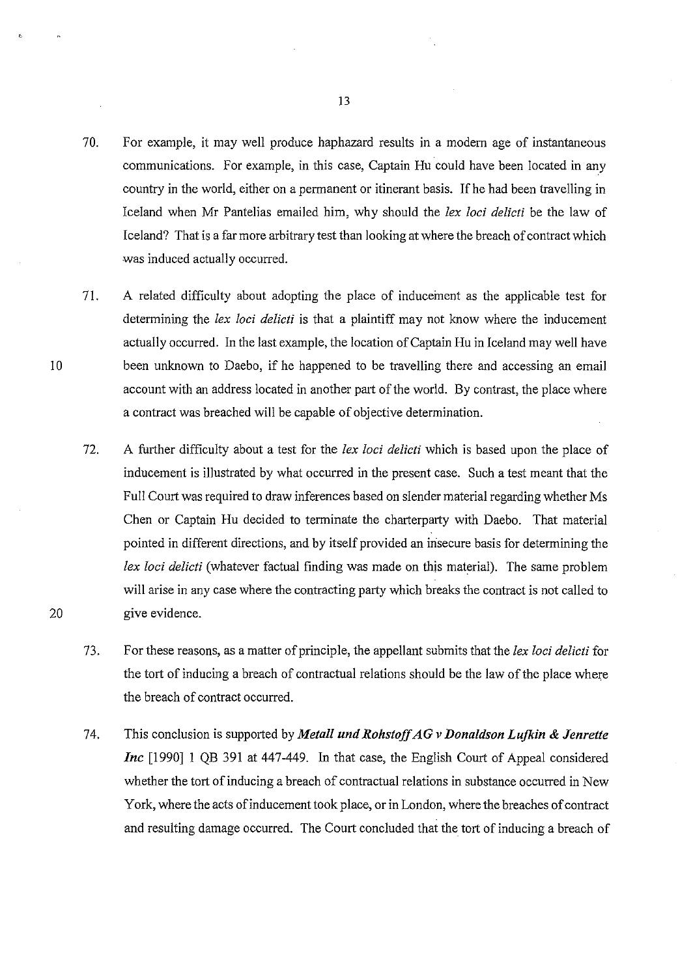- 70. For example, it may well produce haphazard results in a modem age of instantaneous communications. For example, in this case, Captain Hu could have been located **in** any country in the world, either on a permanent or itinerant basis. If he had been travelling in Iceland when Mr Pantelias emailed him, why should the *lex loci delicti* be the law of Iceland? That is a far more arbitrary test than looking at where the breach of contract which was induced actually occurred.
- 71. A related difficulty about adopting the place of inducement as the applicable test for determining the *lex loci delicti* is that a plaintiff may not know where the inducement actually occurred. In the last example, the location of Captain Hu in Iceland may well have been unknown to Daebo, if he happened to be travelling there and accessing an email account with an address located in another part of the world. By contrast, the place where a contract was breached will be capable of objective determination.
- 72. A further difficulty about a test for the *lex loci delicti* which is based upon the place of inducement is illustrated by what occurred in the present case. Such a test meant that the Full Court was required to draw inferences based on slender material regarding whether Ms Chen or Captain Hu decided to terminate the charterparty with Daebo. That material pointed in different directions, and by itself provided an insecure basis for determining the *lex loci delicti* (whatever factual finding was made on this material). The same problem will arise in any case where the contracting party which breaks the contract is not called to give evidence.
- 73. For these reasons, as a matter of principle, the appellant submits that the *lex loci delicti* for the tort of inducing a breach of contractual relations should be the law of the place where the breach of contract occurred.
- 74. This conclusion is supported by *Metal! und Rolzstojf AG v Donaldson Lufkin* **&** *Jenrette Inc* [1990] I QB 391 at 447-449. In that case, the English Court of Appeal considered whether the tort of inducing a breach of contractual relations in substance occurred in New York, where the acts of inducement took place, or in London, where the breaches of contract and resulting damage occurred. The Court concluded that the tort of inducing a breach of

10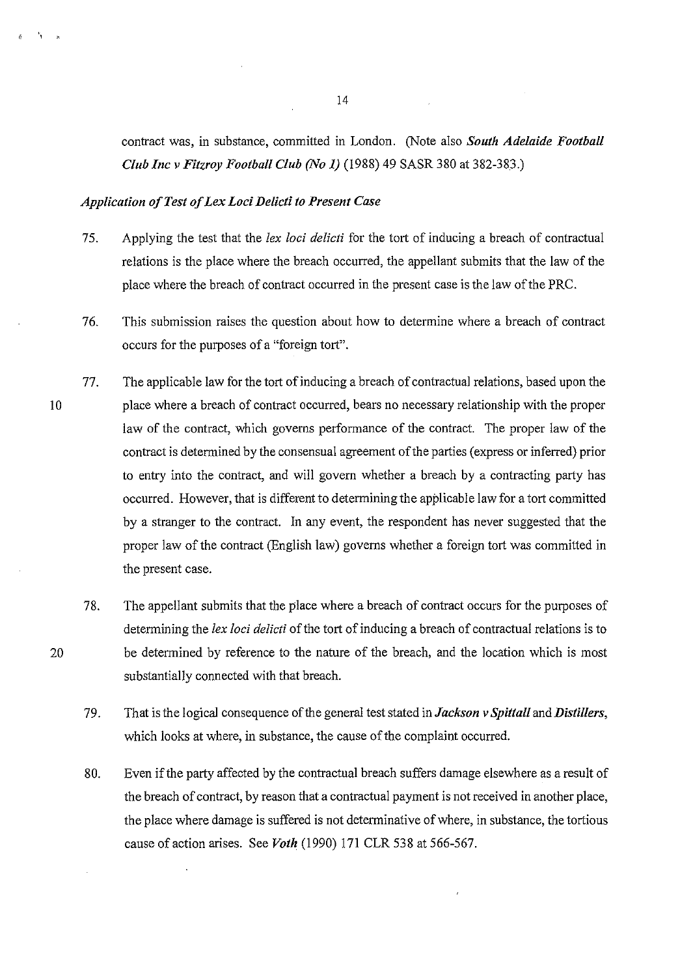contract was, in substance, committed in London. (Note also *South Adelaide Football Club Inc v Fitzroy Football Club (No 1)* (1988) 49 SASR 380 at 382-383.)

#### *Application of Test of Lex Loci Delicti to Present Case*

- 75. Applying the test that the *lex loci delicti* for the tort of inducing a breach of contractual relations is the place where the breach occurred, the appellant submits that the law of the place where the breach of contract occurred in the present case is the law of the PRC.
- 7 6. This submission raises the question about how to determine where a breach of contract occurs for the purposes of a "foreign tort".
- 10 77. The applicable law for the tort of inducing a breach of contractual relations, based upon the place where a breach of contract occurred, bears no necessary relationship with the proper law of the contract, which govems performance of the contract. The proper law of the contract is determined by the consensual agreement of the parties (express or inferred) prior to entry into the contract, and will govem whether a breach by a contracting party has occurred. However, that is different to determining the applicable law for a tort committed by a stranger to the contract. In any event, the respondent has never suggested that the proper law of the contract (English law) govems whether a foreign tort was committed in the present case.
	- 78. The appellant submits that the place where a breach of contract occurs for the purposes of determining the *lex loci delicti* of the tort of inducing a breach of contractual relations is to be determined by reference to the nature of the breach, and the location which is most substantially connected with that breach.
	- 79. That is the logical consequence of the general test stated in *Jackson v Spittall* and *Distillers,*  which looks at where, in substance, the cause of the complaint occurred.
	- 80. Even if the party affected by the contractual breach suffers damage elsewhere as a result of the breach of contract, by reason that a contractual payment is not received in another place, the place where damage is suffered is not determinative of where, in substance, the tortious cause of action arises. See *Voth* (1990) 171 CLR 538 at 566-567.

14

20

·,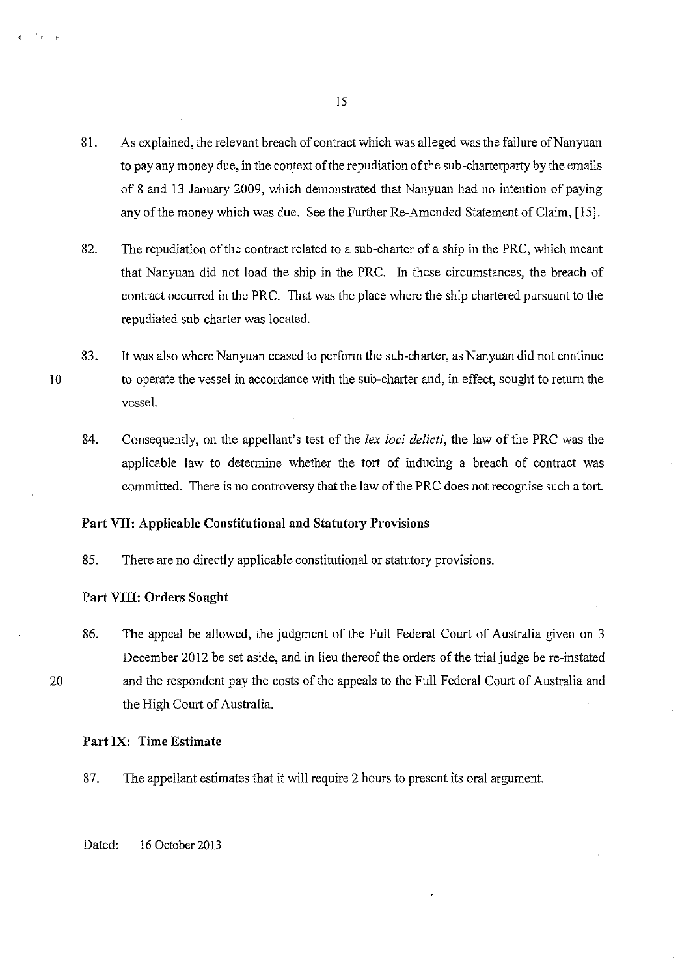- 81. As explained, the relevant breach of contract which was alleged was the failure of Nanyuan to pay any money due, in the context of the repudiation of the sub-charterparty by the emails of 8 and 13 January 2009, which demonstrated that Nanyuan had no intention of paying any of the money which was due. See the Further Re-Amended Statement of Claim, [15].
- 82. The repudiation of the contract related to a sub-charter of a ship in the PRC, which meant that Nanyuan did not load the ship in the PRC. In these circumstances, the breach of contract occurred in the PRC. That was the place where the ship chartered pursuant to the repudiated sub-charter was located.
- 83. It was also where Nanyuan ceased to perform the sub-charter, as Nanyuan did not continue to operate the vessel in accordance with the sub-charter and, in effect, sought to return the vessel.
	- 84. Consequently, on the appellant's test of the *lex loci delicti,* the law of the PRC was the applicable law to determine whether the tort of inducing a breach of contract was committed. There is no controversy that the law of the PRC does not recognise such a tort.

#### **Part VII: Applicable Constitutional and Statutory Provisions**

85. There are no directly applicable constitutional or statutory provisions.

#### **Part VIII: Orders Sought**

86. The appeal be allowed, the judgment of the Full Federal Court of Australia given on 3 December 2012 be set aside, and in lieu thereof the orders of the trial judge be re-instated and the respondent pay the costs of the appeals to the Full Federal Court of Australia and the High Court of Australia.

#### **Part IX: Time Estimate**

87. The appellant estimates that it will require 2 hours to present its oral argument.

Dated: 16 October 2013

15

10